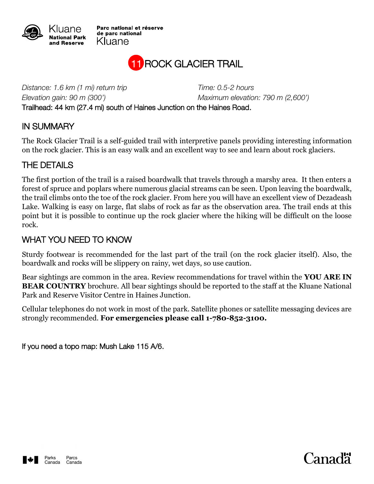

Parc national et réserve de parc national Kluane



*Distance: 1.6 km (1 mi) return trip Time: 0.5-2 hours*

*Elevation gain: 90 m (300') Maximum elevation: 790 m (2,600')*

Trailhead: 44 km (27.4 mi) south of Haines Junction on the Haines Road.

## IN SUMMARY

The Rock Glacier Trail is a self-guided trail with interpretive panels providing interesting information on the rock glacier. This is an easy walk and an excellent way to see and learn about rock glaciers.

## THE DETAILS

The first portion of the trail is a raised boardwalk that travels through a marshy area. It then enters a forest of spruce and poplars where numerous glacial streams can be seen. Upon leaving the boardwalk, the trail climbs onto the toe of the rock glacier. From here you will have an excellent view of Dezadeash Lake. Walking is easy on large, flat slabs of rock as far as the observation area. The trail ends at this point but it is possible to continue up the rock glacier where the hiking will be difficult on the loose rock.

## WHAT YOU NEED TO KNOW

Sturdy footwear is recommended for the last part of the trail (on the rock glacier itself). Also, the boardwalk and rocks will be slippery on rainy, wet days, so use caution.

Bear sightings are common in the area. Review recommendations for travel within the **YOU ARE IN BEAR COUNTRY** brochure. All bear sightings should be reported to the staff at the Kluane National Park and Reserve Visitor Centre in Haines Junction.

Cellular telephones do not work in most of the park. Satellite phones or satellite messaging devices are strongly recommended. **For emergencies please call 1-780-852-3100.**

If you need a topo map: Mush Lake 115 A/6.